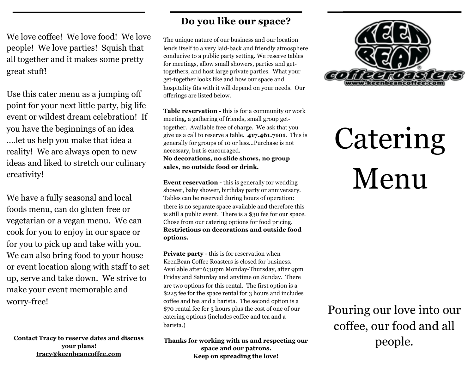We love coffee! We love food! We love people! We love parties! Squish that all together and it makes some pretty great stuff!

Use this cater menu as a jumping off point for your next little party, big life event or wildest dream celebration! If you have the beginnings of an idea ….let us help you make that idea a reality! We are always open to new ideas and liked to stretch our culinary creativity!

We have a fully seasonal and local foods menu, can do gluten free or vegetarian or a vegan menu. We can cook for you to enjoy in our space or for you to pick up and take with you. We can also bring food to your house or event location along with staff to set up, serve and take down. We strive to make your event memorable and worry-free!

**Contact Tracy to reserve dates and discuss your plans! [tracy@keenbeancoffee.com](mailto:tracy@keenbeancoffee.com)**

## **Do you like our space?**

The unique nature of our business and our location lends itself to a very laid-back and friendly atmosphere conducive to a public party setting. We reserve tables for meetings, allow small showers, parties and gettogethers, and host large private parties. What your get-together looks like and how our space and hospitality fits with it will depend on your needs. Our offerings are listed below.

**Table reservation -** this is for a community or work meeting, a gathering of friends, small group gettogether. Available free of charge. We ask that you give us a call to reserve a table. **417.461.7101**. This is generally for groups of 10 or less…Purchase is not necessary, but is encouraged. **No decorations, no slide shows, no group sales, no outside food or drink.**

**Event reservation -** this is generally for wedding shower, baby shower, birthday party or anniversary. Tables can be reserved during hours of operation: there is no separate space available and therefore this is still a public event. There is a \$30 fee for our space. Chose from our catering options for food pricing. **Restrictions on decorations and outside food options.** 

**Private party -** this is for reservation when KeenBean Coffee Roasters is closed for business. Available after 6:30pm Monday-Thursday, after 9pm Friday and Saturday and anytime on Sunday. There are two options for this rental. The first option is a \$225 fee for the space rental for 3 hours and includes coffee and tea and a barista. The second option is a \$70 rental fee for 3 hours plus the cost of one of our catering options (includes coffee and tea and a barista.)

**Thanks for working with us and respecting our space and our patrons. Keep on spreading the love!**



# Catering Menu

Pouring our love into our coffee, our food and all people.